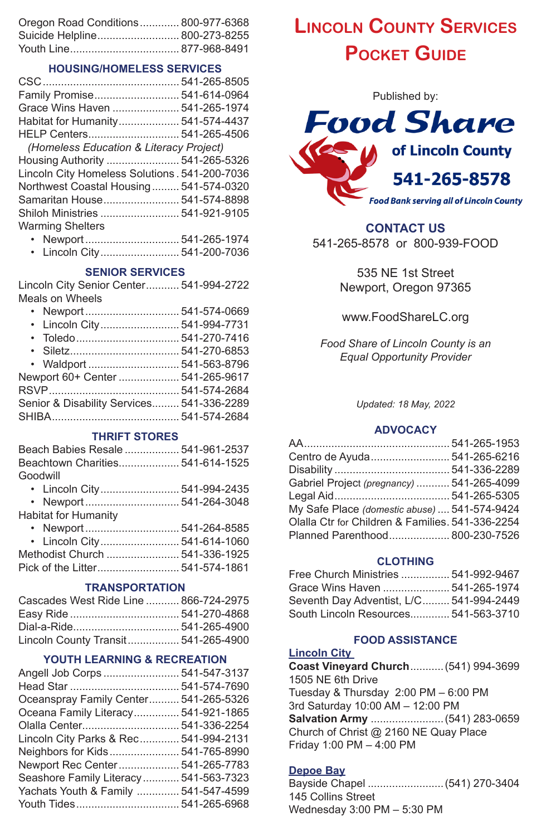| Oregon Road Conditions 800-977-6368 |  |
|-------------------------------------|--|
| Suicide Helpline 800-273-8255       |  |
|                                     |  |

# **HOUSING/HOMELESS SERVICES**

| Family Promise 541-614-0964                    |  |
|------------------------------------------------|--|
| Grace Wins Haven  541-265-1974                 |  |
| Habitat for Humanity 541-574-4437              |  |
|                                                |  |
| (Homeless Education & Literacy Project)        |  |
| Housing Authority  541-265-5326                |  |
| Lincoln City Homeless Solutions . 541-200-7036 |  |
| Northwest Coastal Housing 541-574-0320         |  |
| Samaritan House 541-574-8898                   |  |
| Shiloh Ministries  541-921-9105                |  |
| <b>Warming Shelters</b>                        |  |

- Newport ............................... 541-265-1974
- Lincoln City.......................... 541-200-7036

# **SENIOR SERVICES**

Lincoln City Senior Center........... 541-994-2722 Meals on Wheels

| • Lincoln City 541-994-7731               |  |
|-------------------------------------------|--|
| • Toledo 541-270-7416                     |  |
|                                           |  |
| • Waldport  541-563-8796                  |  |
| Newport 60+ Center  541-265-9617          |  |
|                                           |  |
| Senior & Disability Services 541-336-2289 |  |
|                                           |  |
|                                           |  |

# **THRIFT STORES**

|          | Beach Babies Resale  541-961-2537 |  |
|----------|-----------------------------------|--|
|          | Beachtown Charities 541-614-1525  |  |
| Goodwill |                                   |  |
|          | • Lincoln City 541-994-2435       |  |
|          | • Newport  541-264-3048           |  |

| Habitat for Humanity |  |
|----------------------|--|
|----------------------|--|

| • Lincoln City 541-614-1060 |  |
|-----------------------------|--|
|                             |  |
|                             |  |

# **TRANSPORTATION**

| Cascades West Ride Line  866-724-2975 |  |
|---------------------------------------|--|
|                                       |  |
|                                       |  |
| Lincoln County Transit 541-265-4900   |  |

# **YOUTH LEARNING & RECREATION**

| Angell Job Corps  541-547-3137         |  |
|----------------------------------------|--|
|                                        |  |
| Oceanspray Family Center 541-265-5326  |  |
| Oceana Family Literacy 541-921-1865    |  |
| Olalla Center 541-336-2254             |  |
| Lincoln City Parks & Rec 541-994-2131  |  |
| Neighbors for Kids 541-765-8990        |  |
| Newport Rec Center 541-265-7783        |  |
| Seashore Family Literacy  541-563-7323 |  |
| Yachats Youth & Family  541-547-4599   |  |
|                                        |  |

# **Lincoln County Services Pocket Guide**



# **CONTACT US**

541-265-8578 or 800-939-FOOD

535 NE 1st Street Newport, Oregon 97365

www.FoodShareLC.org

*Food Share of Lincoln County is an Equal Opportunity Provider*

*Updated: 18 May, 2022*

# **ADVOCACY**

| Centro de Ayuda 541-265-6216                     |  |
|--------------------------------------------------|--|
|                                                  |  |
| Gabriel Project (pregnancy)  541-265-4099        |  |
|                                                  |  |
| My Safe Place (domestic abuse)  541-574-9424     |  |
| Olalla Ctr for Children & Families, 541-336-2254 |  |
| Planned Parenthood 800-230-7526                  |  |

# **CLOTHING**

| Free Church Ministries  541-992-9467    |  |
|-----------------------------------------|--|
| Grace Wins Haven  541-265-1974          |  |
| Seventh Day Adventist, L/C 541-994-2449 |  |
| South Lincoln Resources 541-563-3710    |  |

#### **FOOD ASSISTANCE**

# **Lincoln City**

**Coast Vineyard Church**...........(541) 994-3699 1505 NE 6th Drive Tuesday & Thursday 2:00 PM – 6:00 PM 3rd Saturday 10:00 AM – 12:00 PM **Salvation Army** ........................(541) 283-0659 Church of Christ @ 2160 NE Quay Place Friday 1:00 PM – 4:00 PM

# **Depoe Bay**

Bayside Chapel .........................(541) 270-3404 145 Collins Street Wednesday 3:00 PM – 5:30 PM